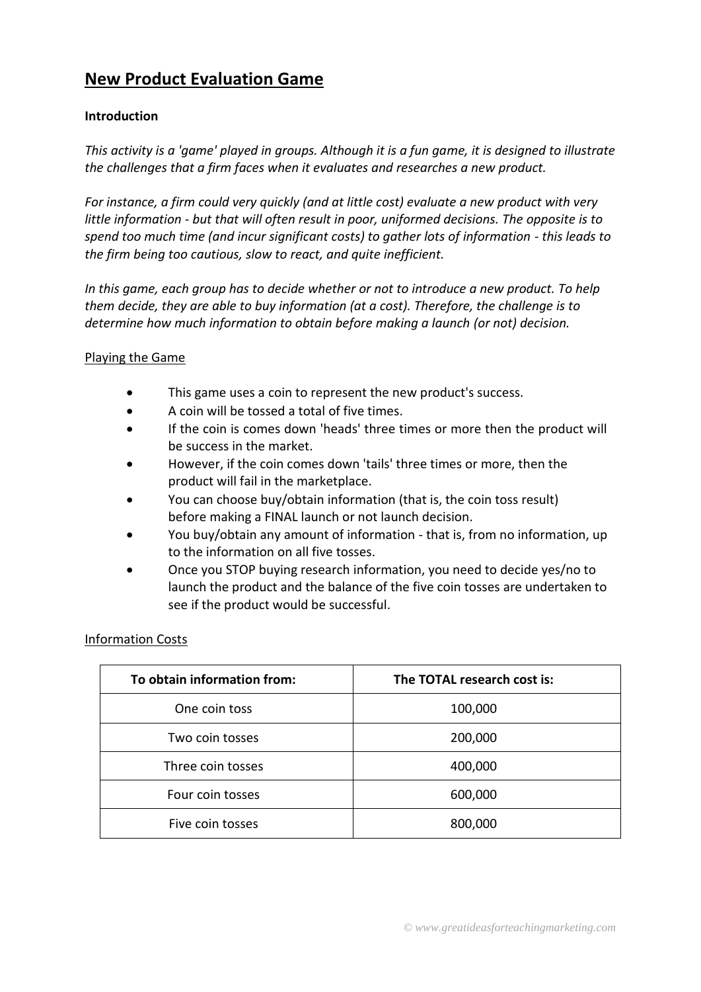# **New Product Evaluation Game**

# **Introduction**

*This activity is a 'game' played in groups. Although it is a fun game, it is designed to illustrate the challenges that a firm faces when it evaluates and researches a new product.*

*For instance, a firm could very quickly (and at little cost) evaluate a new product with very little information - but that will often result in poor, uniformed decisions. The opposite is to spend too much time (and incur significant costs) to gather lots of information - this leads to the firm being too cautious, slow to react, and quite inefficient.*

*In this game, each group has to decide whether or not to introduce a new product. To help them decide, they are able to buy information (at a cost). Therefore, the challenge is to determine how much information to obtain before making a launch (or not) decision.*

#### Playing the Game

- This game uses a coin to represent the new product's success.
- A coin will be tossed a total of five times.
- If the coin is comes down 'heads' three times or more then the product will be success in the market.
- However, if the coin comes down 'tails' three times or more, then the product will fail in the marketplace.
- You can choose buy/obtain information (that is, the coin toss result) before making a FINAL launch or not launch decision.
- You buy/obtain any amount of information that is, from no information, up to the information on all five tosses.
- Once you STOP buying research information, you need to decide yes/no to launch the product and the balance of the five coin tosses are undertaken to see if the product would be successful.

#### Information Costs

| To obtain information from: | The TOTAL research cost is: |  |  |
|-----------------------------|-----------------------------|--|--|
| One coin toss               | 100,000                     |  |  |
| Two coin tosses             | 200,000                     |  |  |
| Three coin tosses           | 400,000                     |  |  |
| Four coin tosses            | 600,000                     |  |  |
| Five coin tosses            | 800,000                     |  |  |